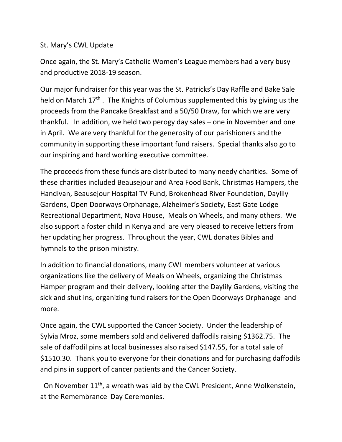## St. Mary's CWL Update

Once again, the St. Mary's Catholic Women's League members had a very busy and productive 2018‐19 season.

Our major fundraiser for this year was the St. Patricks's Day Raffle and Bake Sale held on March 17<sup>th</sup>. The Knights of Columbus supplemented this by giving us the proceeds from the Pancake Breakfast and a 50/50 Draw, for which we are very thankful. In addition, we held two perogy day sales – one in November and one in April. We are very thankful for the generosity of our parishioners and the community in supporting these important fund raisers. Special thanks also go to our inspiring and hard working executive committee.

The proceeds from these funds are distributed to many needy charities. Some of these charities included Beausejour and Area Food Bank, Christmas Hampers, the Handivan, Beausejour Hospital TV Fund, Brokenhead River Foundation, Daylily Gardens, Open Doorways Orphanage, Alzheimer's Society, East Gate Lodge Recreational Department, Nova House, Meals on Wheels, and many others. We also support a foster child in Kenya and are very pleased to receive letters from her updating her progress. Throughout the year, CWL donates Bibles and hymnals to the prison ministry.

In addition to financial donations, many CWL members volunteer at various organizations like the delivery of Meals on Wheels, organizing the Christmas Hamper program and their delivery, looking after the Daylily Gardens, visiting the sick and shut ins, organizing fund raisers for the Open Doorways Orphanage and more.

Once again, the CWL supported the Cancer Society. Under the leadership of Sylvia Mroz, some members sold and delivered daffodils raising \$1362.75. The sale of daffodil pins at local businesses also raised \$147.55, for a total sale of \$1510.30. Thank you to everyone for their donations and for purchasing daffodils and pins in support of cancer patients and the Cancer Society.

On November 11<sup>th</sup>, a wreath was laid by the CWL President, Anne Wolkenstein, at the Remembrance Day Ceremonies.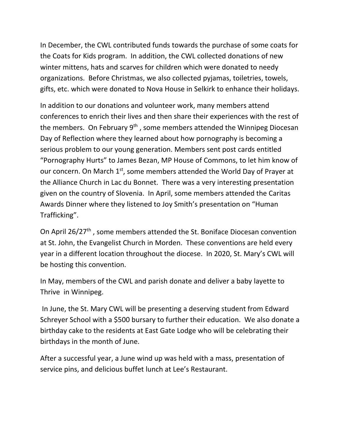In December, the CWL contributed funds towards the purchase of some coats for the Coats for Kids program. In addition, the CWL collected donations of new winter mittens, hats and scarves for children which were donated to needy organizations. Before Christmas, we also collected pyjamas, toiletries, towels, gifts, etc. which were donated to Nova House in Selkirk to enhance their holidays.

In addition to our donations and volunteer work, many members attend conferences to enrich their lives and then share their experiences with the rest of the members. On February  $9<sup>th</sup>$ , some members attended the Winnipeg Diocesan Day of Reflection where they learned about how pornography is becoming a serious problem to our young generation. Members sent post cards entitled "Pornography Hurts" to James Bezan, MP House of Commons, to let him know of our concern. On March 1<sup>st</sup>, some members attended the World Day of Prayer at the Alliance Church in Lac du Bonnet. There was a very interesting presentation given on the country of Slovenia. In April, some members attended the Caritas Awards Dinner where they listened to Joy Smith's presentation on "Human Trafficking".

On April 26/27<sup>th</sup>, some members attended the St. Boniface Diocesan convention at St. John, the Evangelist Church in Morden. These conventions are held every year in a different location throughout the diocese. In 2020, St. Mary's CWL will be hosting this convention.

In May, members of the CWL and parish donate and deliver a baby layette to Thrive in Winnipeg.

 In June, the St. Mary CWL will be presenting a deserving student from Edward Schreyer School with a \$500 bursary to further their education. We also donate a birthday cake to the residents at East Gate Lodge who will be celebrating their birthdays in the month of June.

After a successful year, a June wind up was held with a mass, presentation of service pins, and delicious buffet lunch at Lee's Restaurant.